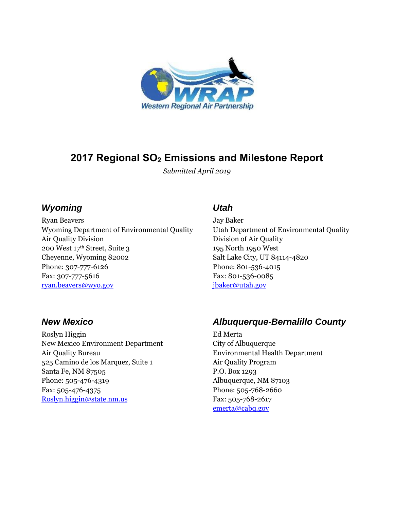

# **2017 Regional SO<sup>2</sup> Emissions and Milestone Report**

*Submitted April 2019*

### *Wyoming*

Ryan Beavers Wyoming Department of Environmental Quality Air Quality Division 200 West 17th Street, Suite 3 Cheyenne, Wyoming 82002 Phone: 307-777-6126 Fax: 307-777-5616 [ryan.beavers@wyo.gov](mailto:ryan.beavers@wyo.gov)

## *Utah*

Jay Baker Utah Department of Environmental Quality Division of Air Quality 195 North 1950 West Salt Lake City, UT 84114-4820 Phone: 801-536-4015 Fax: 801-536-0085 [jbaker@utah.gov](mailto:jbaker@utah.gov)

### *New Mexico*

Roslyn Higgin New Mexico Environment Department Air Quality Bureau 525 Camino de los Marquez, Suite 1 Santa Fe, NM 87505 Phone: 505-476-4319 Fax: 505-476-4375 [Roslyn.higgin@state.nm.us](mailto:Roslyn.higgin@state.nm.us)

## *Albuquerque-Bernalillo County*

Ed Merta City of Albuquerque Environmental Health Department Air Quality Program P.O. Box 1293 Albuquerque, NM 87103 Phone: 505-768-2660 Fax: 505-768-2617 [emerta@cabq.gov](mailto:emerta@cabq.gov)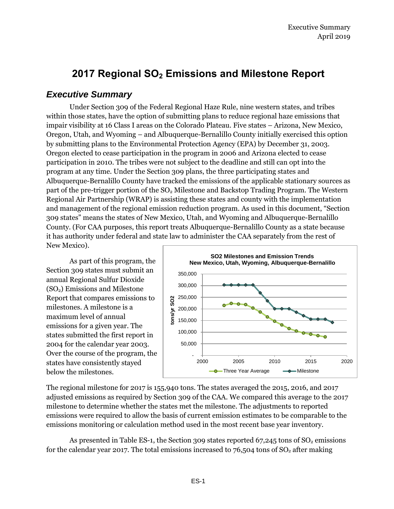# **2017 Regional SO<sup>2</sup> Emissions and Milestone Report**

### *Executive Summary*

Under Section 309 of the Federal Regional Haze Rule, nine western states, and tribes within those states, have the option of submitting plans to reduce regional haze emissions that impair visibility at 16 Class I areas on the Colorado Plateau. Five states – Arizona, New Mexico, Oregon, Utah, and Wyoming – and Albuquerque-Bernalillo County initially exercised this option by submitting plans to the Environmental Protection Agency (EPA) by December 31, 2003. Oregon elected to cease participation in the program in 2006 and Arizona elected to cease participation in 2010. The tribes were not subject to the deadline and still can opt into the program at any time. Under the Section 309 plans, the three participating states and Albuquerque-Bernalillo County have tracked the emissions of the applicable stationary sources as part of the pre-trigger portion of the SO<sub>2</sub> Milestone and Backstop Trading Program. The Western Regional Air Partnership (WRAP) is assisting these states and county with the implementation and management of the regional emission reduction program. As used in this document, "Section 309 states‖ means the states of New Mexico, Utah, and Wyoming and Albuquerque-Bernalillo County. (For CAA purposes, this report treats Albuquerque-Bernalillo County as a state because it has authority under federal and state law to administer the CAA separately from the rest of New Mexico).

As part of this program, the Section 309 states must submit an annual Regional Sulfur Dioxide (SO2) Emissions and Milestone Report that compares emissions to milestones. A milestone is a maximum level of annual emissions for a given year. The states submitted the first report in 2004 for the calendar year 2003. Over the course of the program, the states have consistently stayed below the milestones.



The regional milestone for 2017 is 155,940 tons. The states averaged the 2015, 2016, and 2017 adjusted emissions as required by Section 309 of the CAA. We compared this average to the 2017 milestone to determine whether the states met the milestone. The adjustments to reported emissions were required to allow the basis of current emission estimates to be comparable to the emissions monitoring or calculation method used in the most recent base year inventory.

As presented in Table ES-1, the Section 309 states reported  $67,245$  tons of  $SO<sub>2</sub>$  emissions for the calendar year 2017. The total emissions increased to  $76,504$  tons of  $SO<sub>2</sub>$  after making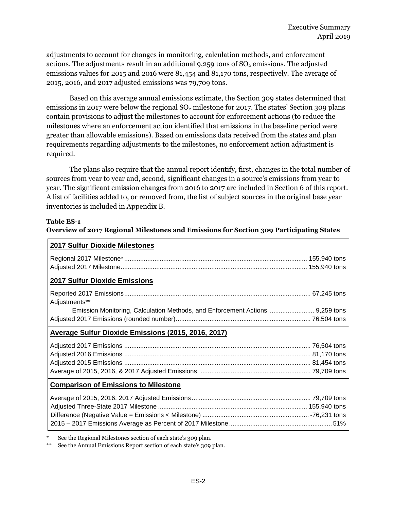adjustments to account for changes in monitoring, calculation methods, and enforcement actions. The adjustments result in an additional  $9,259$  tons of  $SO<sub>2</sub>$  emissions. The adjusted emissions values for 2015 and 2016 were 81,454 and 81,170 tons, respectively. The average of 2015, 2016, and 2017 adjusted emissions was 79,709 tons.

Based on this average annual emissions estimate, the Section 309 states determined that emissions in 2017 were below the regional  $SO<sub>2</sub>$  milestone for 2017. The states' Section 309 plans contain provisions to adjust the milestones to account for enforcement actions (to reduce the milestones where an enforcement action identified that emissions in the baseline period were greater than allowable emissions). Based on emissions data received from the states and plan requirements regarding adjustments to the milestones, no enforcement action adjustment is required.

The plans also require that the annual report identify, first, changes in the total number of sources from year to year and, second, significant changes in a source's emissions from year to year. The significant emission changes from 2016 to 2017 are included in Section 6 of this report. A list of facilities added to, or removed from, the list of subject sources in the original base year inventories is included in Appendix B.

#### **Table ES-1**

#### **Overview of 2017 Regional Milestones and Emissions for Section 309 Participating States**

| <b>2017 Sulfur Dioxide Milestones</b>                                         |  |
|-------------------------------------------------------------------------------|--|
|                                                                               |  |
|                                                                               |  |
| 2017 Sulfur Dioxide Emissions                                                 |  |
|                                                                               |  |
| Adjustments**                                                                 |  |
| Emission Monitoring, Calculation Methods, and Enforcement Actions  9,259 tons |  |
|                                                                               |  |
| Average Sulfur Dioxide Emissions (2015, 2016, 2017)                           |  |
|                                                                               |  |
|                                                                               |  |
|                                                                               |  |
|                                                                               |  |
| <b>Comparison of Emissions to Milestone</b>                                   |  |
|                                                                               |  |
|                                                                               |  |
|                                                                               |  |
|                                                                               |  |
|                                                                               |  |

See the Regional Milestones section of each state's 309 plan.

\*\* See the Annual Emissions Report section of each state's 309 plan.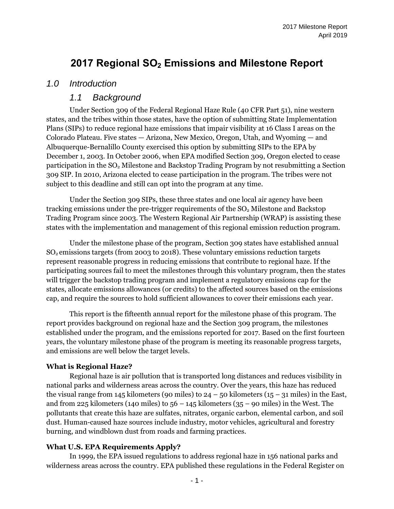# **2017 Regional SO<sup>2</sup> Emissions and Milestone Report**

### *1.0 Introduction*

### *1.1 Background*

Under Section 309 of the Federal Regional Haze Rule (40 CFR Part 51), nine western states, and the tribes within those states, have the option of submitting State Implementation Plans (SIPs) to reduce regional haze emissions that impair visibility at 16 Class I areas on the Colorado Plateau. Five states — Arizona, New Mexico, Oregon, Utah, and Wyoming — and Albuquerque-Bernalillo County exercised this option by submitting SIPs to the EPA by December 1, 2003. In October 2006, when EPA modified Section 309, Oregon elected to cease participation in the SO<sup>2</sup> Milestone and Backstop Trading Program by not resubmitting a Section 309 SIP. In 2010, Arizona elected to cease participation in the program. The tribes were not subject to this deadline and still can opt into the program at any time.

Under the Section 309 SIPs, these three states and one local air agency have been tracking emissions under the pre-trigger requirements of the  $SO<sub>2</sub>$  Milestone and Backstop Trading Program since 2003. The Western Regional Air Partnership (WRAP) is assisting these states with the implementation and management of this regional emission reduction program.

Under the milestone phase of the program, Section 309 states have established annual  $SO<sub>2</sub>$  emissions targets (from 2003 to 2018). These voluntary emissions reduction targets represent reasonable progress in reducing emissions that contribute to regional haze. If the participating sources fail to meet the milestones through this voluntary program, then the states will trigger the backstop trading program and implement a regulatory emissions cap for the states, allocate emissions allowances (or credits) to the affected sources based on the emissions cap, and require the sources to hold sufficient allowances to cover their emissions each year.

This report is the fifteenth annual report for the milestone phase of this program. The report provides background on regional haze and the Section 309 program, the milestones established under the program, and the emissions reported for 2017. Based on the first fourteen years, the voluntary milestone phase of the program is meeting its reasonable progress targets, and emissions are well below the target levels.

#### **What is Regional Haze?**

Regional haze is air pollution that is transported long distances and reduces visibility in national parks and wilderness areas across the country. Over the years, this haze has reduced the visual range from 145 kilometers (90 miles) to  $24 - 50$  kilometers (15 – 31 miles) in the East, and from 225 kilometers (140 miles) to  $56 - 145$  kilometers ( $35 - 90$  miles) in the West. The pollutants that create this haze are sulfates, nitrates, organic carbon, elemental carbon, and soil dust. Human-caused haze sources include industry, motor vehicles, agricultural and forestry burning, and windblown dust from roads and farming practices.

#### **What U.S. EPA Requirements Apply?**

In 1999, the EPA issued regulations to address regional haze in 156 national parks and wilderness areas across the country. EPA published these regulations in the Federal Register on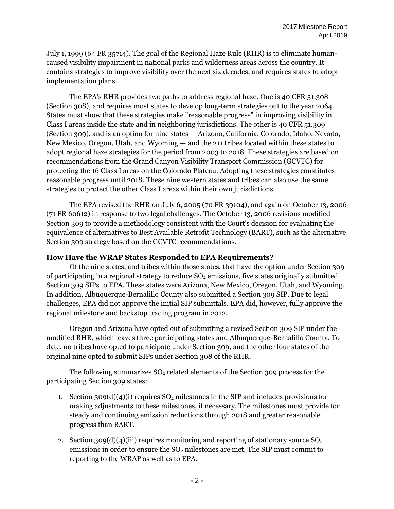July 1, 1999 (64 FR 35714). The goal of the Regional Haze Rule (RHR) is to eliminate humancaused visibility impairment in national parks and wilderness areas across the country. It contains strategies to improve visibility over the next six decades, and requires states to adopt implementation plans.

The EPA's RHR provides two paths to address regional haze. One is 40 CFR 51.308 (Section 308), and requires most states to develop long-term strategies out to the year 2064. States must show that these strategies make "reasonable progress" in improving visibility in Class I areas inside the state and in neighboring jurisdictions. The other is 40 CFR 51.309 (Section 309), and is an option for nine states — Arizona, California, Colorado, Idaho, Nevada, New Mexico, Oregon, Utah, and Wyoming — and the 211 tribes located within these states to adopt regional haze strategies for the period from 2003 to 2018. These strategies are based on recommendations from the Grand Canyon Visibility Transport Commission (GCVTC) for protecting the 16 Class I areas on the Colorado Plateau. Adopting these strategies constitutes reasonable progress until 2018. These nine western states and tribes can also use the same strategies to protect the other Class I areas within their own jurisdictions.

The EPA revised the RHR on July 6, 2005 (70 FR 39104), and again on October 13, 2006 (71 FR 60612) in response to two legal challenges. The October 13, 2006 revisions modified Section 309 to provide a methodology consistent with the Court's decision for evaluating the equivalence of alternatives to Best Available Retrofit Technology (BART), such as the alternative Section 309 strategy based on the GCVTC recommendations.

#### **How Have the WRAP States Responded to EPA Requirements?**

Of the nine states, and tribes within those states, that have the option under Section 309 of participating in a regional strategy to reduce  $SO<sub>2</sub>$  emissions, five states originally submitted Section 309 SIPs to EPA. These states were Arizona, New Mexico, Oregon, Utah, and Wyoming. In addition, Albuquerque-Bernalillo County also submitted a Section 309 SIP. Due to legal challenges, EPA did not approve the initial SIP submittals. EPA did, however, fully approve the regional milestone and backstop trading program in 2012.

Oregon and Arizona have opted out of submitting a revised Section 309 SIP under the modified RHR, which leaves three participating states and Albuquerque-Bernalillo County. To date, no tribes have opted to participate under Section 309, and the other four states of the original nine opted to submit SIPs under Section 308 of the RHR.

The following summarizes  $SO_2$  related elements of the Section 309 process for the participating Section 309 states:

- 1. Section 309(d)(4)(i) requires  $SO_2$  milestones in the SIP and includes provisions for making adjustments to these milestones, if necessary. The milestones must provide for steady and continuing emission reductions through 2018 and greater reasonable progress than BART.
- 2. Section 309(d)(4)(iii) requires monitoring and reporting of stationary source  $SO<sub>2</sub>$ emissions in order to ensure the  $SO<sub>2</sub>$  milestones are met. The SIP must commit to reporting to the WRAP as well as to EPA.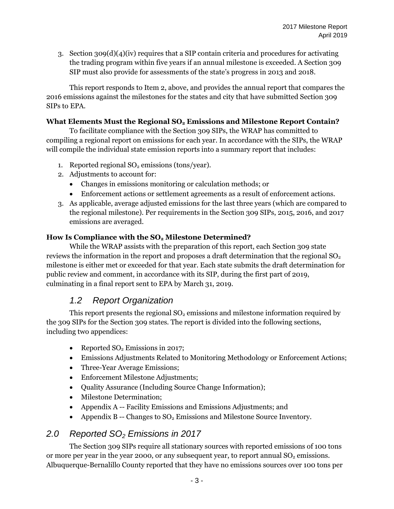3. Section 309(d)(4)(iv) requires that a SIP contain criteria and procedures for activating the trading program within five years if an annual milestone is exceeded. A Section 309 SIP must also provide for assessments of the state's progress in 2013 and 2018.

This report responds to Item 2, above, and provides the annual report that compares the 2016 emissions against the milestones for the states and city that have submitted Section 309 SIPs to EPA.

#### **What Elements Must the Regional SO<sup>2</sup> Emissions and Milestone Report Contain?**

To facilitate compliance with the Section 309 SIPs, the WRAP has committed to compiling a regional report on emissions for each year. In accordance with the SIPs, the WRAP will compile the individual state emission reports into a summary report that includes:

- 1. Reported regional  $SO<sub>2</sub>$  emissions (tons/year).
- 2. Adjustments to account for:
	- Changes in emissions monitoring or calculation methods; or
	- Enforcement actions or settlement agreements as a result of enforcement actions.
- 3. As applicable, average adjusted emissions for the last three years (which are compared to the regional milestone). Per requirements in the Section 309 SIPs, 2015, 2016, and 2017 emissions are averaged.

#### **How Is Compliance with the SO<sup>2</sup> Milestone Determined?**

While the WRAP assists with the preparation of this report, each Section 309 state reviews the information in the report and proposes a draft determination that the regional  $SO<sub>2</sub>$ milestone is either met or exceeded for that year. Each state submits the draft determination for public review and comment, in accordance with its SIP, during the first part of 2019, culminating in a final report sent to EPA by March 31, 2019.

### *1.2 Report Organization*

This report presents the regional  $SO<sub>2</sub>$  emissions and milestone information required by the 309 SIPs for the Section 309 states. The report is divided into the following sections, including two appendices:

- Reported  $SO<sub>2</sub>$  Emissions in 2017;
- Emissions Adjustments Related to Monitoring Methodology or Enforcement Actions;
- Three-Year Average Emissions;
- Enforcement Milestone Adjustments;
- Quality Assurance (Including Source Change Information);
- Milestone Determination:
- Appendix A -- Facility Emissions and Emissions Adjustments; and
- Appendix B -- Changes to  $SO_2$  Emissions and Milestone Source Inventory.

### *2.0 Reported SO<sup>2</sup> Emissions in 2017*

The Section 309 SIPs require all stationary sources with reported emissions of 100 tons or more per year in the year 2000, or any subsequent year, to report annual  $SO<sub>2</sub>$  emissions. Albuquerque-Bernalillo County reported that they have no emissions sources over 100 tons per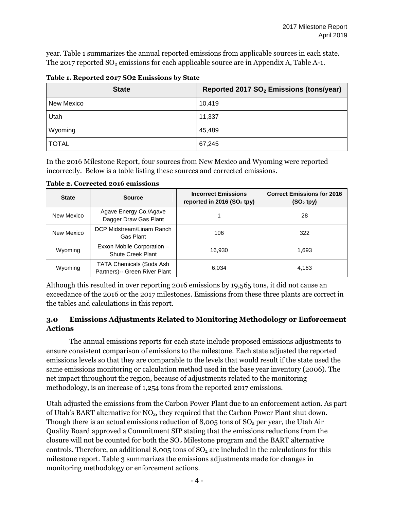year. Table 1 summarizes the annual reported emissions from applicable sources in each state. The 2017 reported  $SO_2$  emissions for each applicable source are in Appendix A, Table A-1.

| <b>State</b> | Reported 2017 SO <sub>2</sub> Emissions (tons/year) |
|--------------|-----------------------------------------------------|
| New Mexico   | 10,419                                              |
| Utah         | 11,337                                              |
| Wyoming      | 45,489                                              |
| <b>TOTAL</b> | 67,245                                              |

**Table 1. Reported 2017 SO2 Emissions by State**

In the 2016 Milestone Report, four sources from New Mexico and Wyoming were reported incorrectly. Below is a table listing these sources and corrected emissions.

| <b>State</b> | <b>Source</b>                                                    | <b>Incorrect Emissions</b><br>reported in 2016 (SO <sub>2</sub> tpy) | <b>Correct Emissions for 2016</b><br>$(SO2$ tpy) |
|--------------|------------------------------------------------------------------|----------------------------------------------------------------------|--------------------------------------------------|
| New Mexico   | Agave Energy Co./Agave<br>Dagger Draw Gas Plant                  |                                                                      | 28                                               |
| New Mexico   | DCP Midstream/Linam Ranch<br>Gas Plant                           | 106                                                                  | 322                                              |
| Wyoming      | Exxon Mobile Corporation -<br><b>Shute Creek Plant</b>           | 16.930                                                               | 1,693                                            |
| Wyoming      | <b>TATA Chemicals (Soda Ash</b><br>Partners)-- Green River Plant | 6,034                                                                | 4,163                                            |

**Table 2. Corrected 2016 emissions**

Although this resulted in over reporting 2016 emissions by 19,565 tons, it did not cause an exceedance of the 2016 or the 2017 milestones. Emissions from these three plants are correct in the tables and calculations in this report.

#### **3.0 Emissions Adjustments Related to Monitoring Methodology or Enforcement Actions**

The annual emissions reports for each state include proposed emissions adjustments to ensure consistent comparison of emissions to the milestone. Each state adjusted the reported emissions levels so that they are comparable to the levels that would result if the state used the same emissions monitoring or calculation method used in the base year inventory (2006). The net impact throughout the region, because of adjustments related to the monitoring methodology, is an increase of 1,254 tons from the reported 2017 emissions.

Utah adjusted the emissions from the Carbon Power Plant due to an enforcement action. As part of Utah's BART alternative for NOx, they required that the Carbon Power Plant shut down. Though there is an actual emissions reduction of  $8,005$  tons of  $SO<sub>2</sub>$  per year, the Utah Air Quality Board approved a Commitment SIP stating that the emissions reductions from the closure will not be counted for both the  $SO<sub>2</sub>$  Milestone program and the BART alternative controls. Therefore, an additional  $8,005$  tons of  $SO<sub>2</sub>$  are included in the calculations for this milestone report. Table 3 summarizes the emissions adjustments made for changes in monitoring methodology or enforcement actions.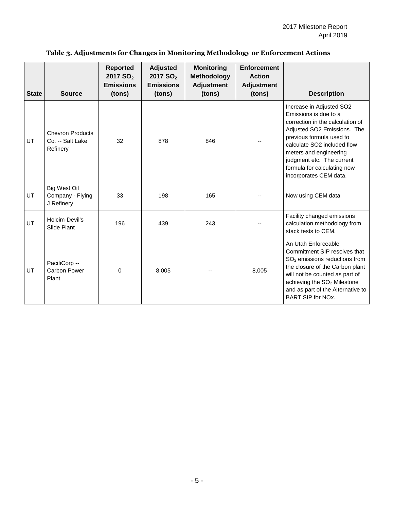| <b>State</b> | <b>Source</b>                                           | <b>Reported</b><br>2017 SO <sub>2</sub><br><b>Emissions</b><br>(tons) | <b>Adjusted</b><br>2017 SO <sub>2</sub><br><b>Emissions</b><br>(tons) | <b>Monitoring</b><br><b>Methodology</b><br><b>Adjustment</b><br>(tons) | <b>Enforcement</b><br><b>Action</b><br><b>Adjustment</b><br>(tons) | <b>Description</b>                                                                                                                                                                                                                                                                              |
|--------------|---------------------------------------------------------|-----------------------------------------------------------------------|-----------------------------------------------------------------------|------------------------------------------------------------------------|--------------------------------------------------------------------|-------------------------------------------------------------------------------------------------------------------------------------------------------------------------------------------------------------------------------------------------------------------------------------------------|
| UT           | <b>Chevron Products</b><br>Co. -- Salt Lake<br>Refinery | 32                                                                    | 878                                                                   | 846                                                                    |                                                                    | Increase in Adjusted SO2<br>Emissions is due to a<br>correction in the calculation of<br>Adjusted SO2 Emissions. The<br>previous formula used to<br>calculate SO2 included flow<br>meters and engineering<br>judgment etc. The current<br>formula for calculating now<br>incorporates CEM data. |
| UT           | <b>Big West Oil</b><br>Company - Flying<br>J Refinery   | 33                                                                    | 198                                                                   | 165                                                                    |                                                                    | Now using CEM data                                                                                                                                                                                                                                                                              |
| UT           | Holcim-Devil's<br>Slide Plant                           | 196                                                                   | 439                                                                   | 243                                                                    |                                                                    | Facility changed emissions<br>calculation methodology from<br>stack tests to CEM.                                                                                                                                                                                                               |
| UT           | PacifiCorp --<br><b>Carbon Power</b><br>Plant           | 0                                                                     | 8.005                                                                 |                                                                        | 8,005                                                              | An Utah Enforceable<br>Commitment SIP resolves that<br>SO <sub>2</sub> emissions reductions from<br>the closure of the Carbon plant<br>will not be counted as part of<br>achieving the SO <sub>2</sub> Milestone<br>and as part of the Alternative to<br><b>BART SIP for NOx.</b>               |

#### **Table 3. Adjustments for Changes in Monitoring Methodology or Enforcement Actions**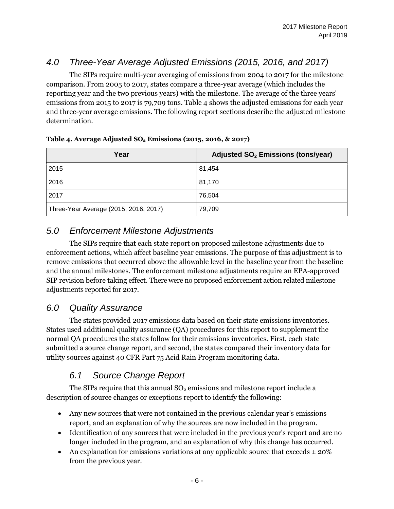## *4.0 Three-Year Average Adjusted Emissions (2015, 2016, and 2017)*

The SIPs require multi-year averaging of emissions from 2004 to 2017 for the milestone comparison. From 2005 to 2017, states compare a three-year average (which includes the reporting year and the two previous years) with the milestone. The average of the three years' emissions from 2015 to 2017 is 79,709 tons. Table 4 shows the adjusted emissions for each year and three-year average emissions. The following report sections describe the adjusted milestone determination.

| Year                                  | Adjusted SO <sub>2</sub> Emissions (tons/year) |
|---------------------------------------|------------------------------------------------|
| 2015                                  | 81,454                                         |
| 2016                                  | 81,170                                         |
| 2017                                  | 76,504                                         |
| Three-Year Average (2015, 2016, 2017) | 79,709                                         |

#### **Table 4. Average Adjusted SO<sup>2</sup> Emissions (2015, 2016, & 2017)**

### *5.0 Enforcement Milestone Adjustments*

The SIPs require that each state report on proposed milestone adjustments due to enforcement actions, which affect baseline year emissions. The purpose of this adjustment is to remove emissions that occurred above the allowable level in the baseline year from the baseline and the annual milestones. The enforcement milestone adjustments require an EPA-approved SIP revision before taking effect. There were no proposed enforcement action related milestone adjustments reported for 2017.

### *6.0 Quality Assurance*

The states provided 2017 emissions data based on their state emissions inventories. States used additional quality assurance (QA) procedures for this report to supplement the normal QA procedures the states follow for their emissions inventories. First, each state submitted a source change report, and second, the states compared their inventory data for utility sources against 40 CFR Part 75 Acid Rain Program monitoring data.

## *6.1 Source Change Report*

The SIPs require that this annual  $SO<sub>2</sub>$  emissions and milestone report include a description of source changes or exceptions report to identify the following:

- Any new sources that were not contained in the previous calendar year's emissions report, and an explanation of why the sources are now included in the program.
- Identification of any sources that were included in the previous year's report and are no longer included in the program, and an explanation of why this change has occurred.
- An explanation for emissions variations at any applicable source that exceeds  $\pm$  20% from the previous year.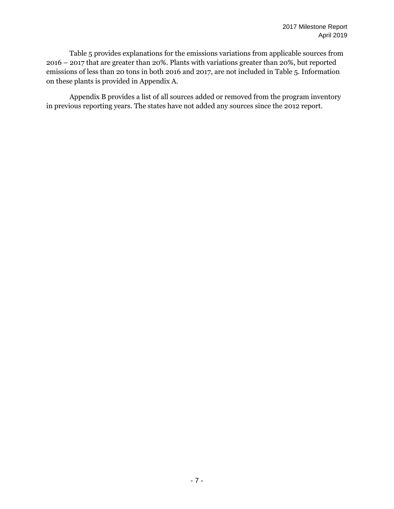Table 5 provides explanations for the emissions variations from applicable sources from 2016 – 2017 that are greater than 20%. Plants with variations greater than 20%, but reported emissions of less than 20 tons in both 2016 and 2017, are not included in Table 5. Information on these plants is provided in Appendix A.

Appendix B provides a list of all sources added or removed from the program inventory in previous reporting years. The states have not added any sources since the 2012 report.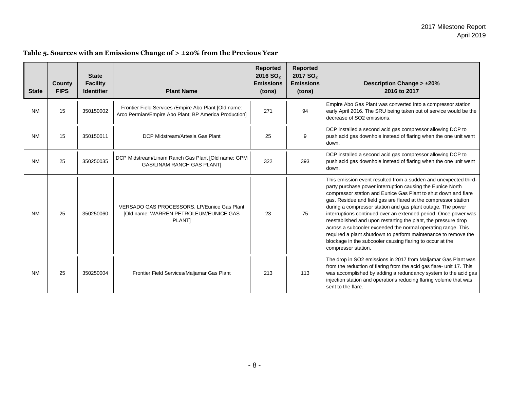| <b>State</b> | <b>County</b><br><b>FIPS</b> | <b>State</b><br><b>Facility</b><br><b>Identifier</b> | <b>Plant Name</b>                                                                                              | <b>Reported</b><br>2016 SO <sub>2</sub><br><b>Emissions</b><br>(tons) | Reported<br>2017 SO <sub>2</sub><br><b>Emissions</b><br>(tons) | <b>Description Change &gt; ±20%</b><br>2016 to 2017                                                                                                                                                                                                                                                                                                                                                                                                                                                                                                                                                                                                                                           |
|--------------|------------------------------|------------------------------------------------------|----------------------------------------------------------------------------------------------------------------|-----------------------------------------------------------------------|----------------------------------------------------------------|-----------------------------------------------------------------------------------------------------------------------------------------------------------------------------------------------------------------------------------------------------------------------------------------------------------------------------------------------------------------------------------------------------------------------------------------------------------------------------------------------------------------------------------------------------------------------------------------------------------------------------------------------------------------------------------------------|
| <b>NM</b>    | 15                           | 350150002                                            | Frontier Field Services / Empire Abo Plant [Old name:<br>Arco Permian/Empire Abo Plant; BP America Production] | 271                                                                   | 94                                                             | Empire Abo Gas Plant was converted into a compressor station<br>early April 2016. The SRU being taken out of service would be the<br>decrease of SO2 emissions.                                                                                                                                                                                                                                                                                                                                                                                                                                                                                                                               |
| <b>NM</b>    | 15                           | 350150011                                            | DCP Midstream/Artesia Gas Plant                                                                                | 25                                                                    | 9                                                              | DCP installed a second acid gas compressor allowing DCP to<br>push acid gas downhole instead of flaring when the one unit went<br>down.                                                                                                                                                                                                                                                                                                                                                                                                                                                                                                                                                       |
| <b>NM</b>    | 25                           | 350250035                                            | DCP Midstream/Linam Ranch Gas Plant [Old name: GPM<br><b>GAS/LINAM RANCH GAS PLANTI</b>                        | 322                                                                   | 393                                                            | DCP installed a second acid gas compressor allowing DCP to<br>push acid gas downhole instead of flaring when the one unit went<br>down.                                                                                                                                                                                                                                                                                                                                                                                                                                                                                                                                                       |
| <b>NM</b>    | 25                           | 350250060                                            | VERSADO GAS PROCESSORS, LP/Eunice Gas Plant<br>[Old name: WARREN PETROLEUM/EUNICE GAS<br><b>PLANTI</b>         | 23                                                                    | 75                                                             | This emission event resulted from a sudden and unexpected third-<br>party purchase power interruption causing the Eunice North<br>compressor station and Eunice Gas Plant to shut down and flare<br>gas. Residue and field gas are flared at the compressor station<br>during a compressor station and gas plant outage. The power<br>interruptions continued over an extended period. Once power was<br>reestablished and upon restarting the plant, the pressure drop<br>across a subcooler exceeded the normal operating range. This<br>required a plant shutdown to perform maintenance to remove the<br>blockage in the subcooler causing flaring to occur at the<br>compressor station. |
| <b>NM</b>    | 25                           | 350250004                                            | Frontier Field Services/Maljamar Gas Plant                                                                     | 213                                                                   | 113                                                            | The drop in SO2 emissions in 2017 from Maljamar Gas Plant was<br>from the reduction of flaring from the acid gas flare- unit 17. This<br>was accomplished by adding a redundancy system to the acid gas<br>injection station and operations reducing flaring volume that was<br>sent to the flare.                                                                                                                                                                                                                                                                                                                                                                                            |

#### **Table 5. Sources with an Emissions Change of > ±20% from the Previous Year**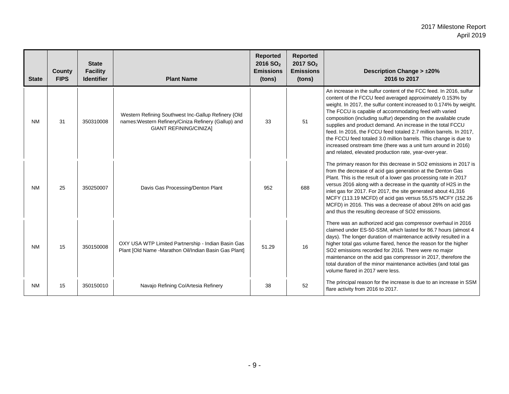| <b>State</b> | <b>County</b><br><b>FIPS</b> | <b>State</b><br><b>Facility</b><br><b>Identifier</b> | <b>Plant Name</b>                                                                                                                            | <b>Reported</b><br>2016 SO <sub>2</sub><br><b>Emissions</b><br>(tons) | Reported<br>2017 SO <sub>2</sub><br><b>Emissions</b><br>(tons) | <b>Description Change &gt; ±20%</b><br>2016 to 2017                                                                                                                                                                                                                                                                                                                                                                                                                                                                                                                                                                                                                   |
|--------------|------------------------------|------------------------------------------------------|----------------------------------------------------------------------------------------------------------------------------------------------|-----------------------------------------------------------------------|----------------------------------------------------------------|-----------------------------------------------------------------------------------------------------------------------------------------------------------------------------------------------------------------------------------------------------------------------------------------------------------------------------------------------------------------------------------------------------------------------------------------------------------------------------------------------------------------------------------------------------------------------------------------------------------------------------------------------------------------------|
| <b>NM</b>    | 31                           | 350310008                                            | Western Refining Southwest Inc-Gallup Refinery {Old<br>names: Western Refinery/Ciniza Refinery (Gallup) and<br><b>GIANT REFINING/CINIZA]</b> | 33                                                                    | 51                                                             | An increase in the sulfur content of the FCC feed. In 2016, sulfur<br>content of the FCCU feed averaged approximately 0.153% by<br>weight. In 2017, the sulfur content increased to 0.174% by weight.<br>The FCCU is capable of accommodating feed with varied<br>composition (including sulfur) depending on the available crude<br>supplies and product demand. An increase in the total FCCU<br>feed. In 2016, the FCCU feed totaled 2.7 million barrels. In 2017,<br>the FCCU feed totaled 3.0 million barrels. This change is due to<br>increased onstream time (there was a unit turn around in 2016)<br>and related, elevated production rate, year-over-year. |
| <b>NM</b>    | 25                           | 350250007                                            | Davis Gas Processing/Denton Plant                                                                                                            | 952                                                                   | 688                                                            | The primary reason for this decrease in SO2 emissions in 2017 is<br>from the decrease of acid gas generation at the Denton Gas<br>Plant. This is the result of a lower gas processing rate in 2017<br>versus 2016 along with a decrease in the quantity of H2S in the<br>inlet gas for 2017. For 2017, the site generated about 41,316<br>MCFY (113.19 MCFD) of acid gas versus 55,575 MCFY (152.26<br>MCFD) in 2016. This was a decrease of about 26% on acid gas<br>and thus the resulting decrease of SO2 emissions.                                                                                                                                               |
| <b>NM</b>    | 15                           | 350150008                                            | OXY USA WTP Limited Partnership - Indian Basin Gas<br>Plant [Old Name -Marathon Oil/Indian Basin Gas Plant]                                  | 51.29                                                                 | 16                                                             | There was an authorized acid gas compressor overhaul in 2016<br>claimed under ES-50-SSM, which lasted for 86.7 hours (almost 4<br>days). The longer duration of maintenance activity resulted in a<br>higher total gas volume flared, hence the reason for the higher<br>SO2 emissions recorded for 2016. There were no major<br>maintenance on the acid gas compressor in 2017, therefore the<br>total duration of the minor maintenance activities (and total gas<br>volume flared in 2017 were less.                                                                                                                                                               |
| <b>NM</b>    | 15                           | 350150010                                            | Navajo Refining Co/Artesia Refinery                                                                                                          | 38                                                                    | 52                                                             | The principal reason for the increase is due to an increase in SSM<br>flare activity from 2016 to 2017.                                                                                                                                                                                                                                                                                                                                                                                                                                                                                                                                                               |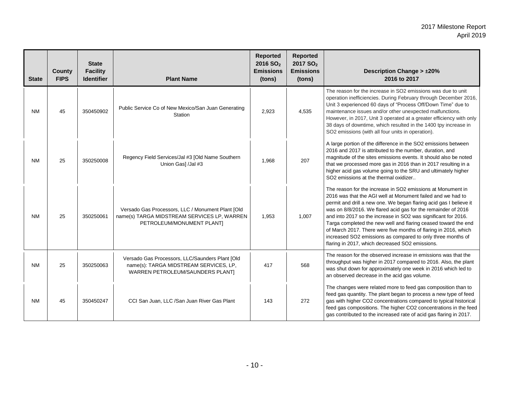| <b>State</b> | County<br><b>FIPS</b> | <b>State</b><br><b>Facility</b><br><b>Identifier</b> | <b>Plant Name</b>                                                                                                             | <b>Reported</b><br>2016 SO <sub>2</sub><br><b>Emissions</b><br>(tons) | <b>Reported</b><br>2017 SO <sub>2</sub><br><b>Emissions</b><br>(tons) | <b>Description Change &gt; ±20%</b><br>2016 to 2017                                                                                                                                                                                                                                                                                                                                                                                                                                                                                                                                        |
|--------------|-----------------------|------------------------------------------------------|-------------------------------------------------------------------------------------------------------------------------------|-----------------------------------------------------------------------|-----------------------------------------------------------------------|--------------------------------------------------------------------------------------------------------------------------------------------------------------------------------------------------------------------------------------------------------------------------------------------------------------------------------------------------------------------------------------------------------------------------------------------------------------------------------------------------------------------------------------------------------------------------------------------|
| <b>NM</b>    | 45                    | 350450902                                            | Public Service Co of New Mexico/San Juan Generating<br>Station                                                                | 2,923                                                                 | 4,535                                                                 | The reason for the increase in SO2 emissions was due to unit<br>operation inefficiencies. During February through December 2016,<br>Unit 3 experienced 60 days of "Process Off/Down Time" due to<br>maintenance issues and/or other unexpected malfunctions.<br>However, in 2017, Unit 3 operated at a greater efficiency with only<br>38 days of downtime, which resulted in the 1400 tpy increase in<br>SO2 emissions (with all four units in operation).                                                                                                                                |
| <b>NM</b>    | 25                    | 350250008                                            | Regency Field Services/Jal #3 [Old Name Southern<br>Union Gas] /Jal #3                                                        | 1,968                                                                 | 207                                                                   | A large portion of the difference in the SO2 emissions between<br>2016 and 2017 is attributed to the number, duration, and<br>magnitude of the sites emissions events. It should also be noted<br>that we processed more gas in 2016 than in 2017 resulting in a<br>higher acid gas volume going to the SRU and ultimately higher<br>SO2 emissions at the thermal oxidizer                                                                                                                                                                                                                 |
| <b>NM</b>    | 25                    | 350250061                                            | Versado Gas Processors, LLC / Monument Plant [Old<br>name(s) TARGA MIDSTREAM SERVICES LP, WARREN<br>PETROLEUM/MONUMENT PLANT] | 1,953                                                                 | 1,007                                                                 | The reason for the increase in SO2 emissions at Monument in<br>2016 was that the AGI well at Monument failed and we had to<br>permit and drill a new one. We began flaring acid gas I believe it<br>was on 8/8/2016. We flared acid gas for the remainder of 2016<br>and into 2017 so the increase in SO2 was significant for 2016.<br>Targa completed the new well and flaring ceased toward the end<br>of March 2017. There were five months of flaring in 2016, which<br>increased SO2 emissions as compared to only three months of<br>flaring in 2017, which decreased SO2 emissions. |
| NM           | 25                    | 350250063                                            | Versado Gas Processors, LLC/Saunders Plant [Old<br>name(s): TARGA MIDSTREAM SERVICES, LP,<br>WARREN PETROLEUM/SAUNDERS PLANTI | 417                                                                   | 568                                                                   | The reason for the observed increase in emissions was that the<br>throughput was higher in 2017 compared to 2016. Also, the plant<br>was shut down for approximately one week in 2016 which led to<br>an observed decrease in the acid gas volume.                                                                                                                                                                                                                                                                                                                                         |
| <b>NM</b>    | 45                    | 350450247                                            | CCI San Juan, LLC / San Juan River Gas Plant                                                                                  | 143                                                                   | 272                                                                   | The changes were related more to feed gas composition than to<br>feed gas quantity. The plant began to process a new type of feed<br>gas with higher CO2 concentrations compared to typical historical<br>feed gas compositions. The higher CO2 concentrations in the feed<br>gas contributed to the increased rate of acid gas flaring in 2017.                                                                                                                                                                                                                                           |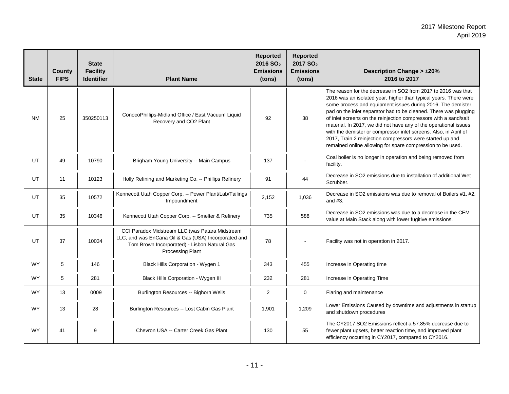| <b>State</b> | County<br><b>FIPS</b> | <b>State</b><br><b>Facility</b><br><b>Identifier</b> | <b>Plant Name</b>                                                                                                                                                           | Reported<br>2016 SO <sub>2</sub><br><b>Emissions</b><br>(tons) | <b>Reported</b><br>2017 SO <sub>2</sub><br><b>Emissions</b><br>(tons) | <b>Description Change &gt; ±20%</b><br>2016 to 2017                                                                                                                                                                                                                                                                                                                                                                                                                                                                                                                                                         |
|--------------|-----------------------|------------------------------------------------------|-----------------------------------------------------------------------------------------------------------------------------------------------------------------------------|----------------------------------------------------------------|-----------------------------------------------------------------------|-------------------------------------------------------------------------------------------------------------------------------------------------------------------------------------------------------------------------------------------------------------------------------------------------------------------------------------------------------------------------------------------------------------------------------------------------------------------------------------------------------------------------------------------------------------------------------------------------------------|
| <b>NM</b>    | 25                    | 350250113                                            | ConocoPhillips-Midland Office / East Vacuum Liquid<br>Recovery and CO2 Plant                                                                                                | 92                                                             | 38                                                                    | The reason for the decrease in SO2 from 2017 to 2016 was that<br>2016 was an isolated year, higher than typical years. There were<br>some process and equipment issues during 2016. The demister<br>pad on the inlet separator had to be cleaned. There was plugging<br>of inlet screens on the reinjection compressors with a sand/salt<br>material. In 2017, we did not have any of the operational issues<br>with the demister or compressor inlet screens. Also, in April of<br>2017, Train 2 reinjection compressors were started up and<br>remained online allowing for spare compression to be used. |
| UT           | 49                    | 10790                                                | Brigham Young University -- Main Campus                                                                                                                                     | 137                                                            |                                                                       | Coal boiler is no longer in operation and being removed from<br>facility.                                                                                                                                                                                                                                                                                                                                                                                                                                                                                                                                   |
| <b>UT</b>    | 11                    | 10123                                                | Holly Refining and Marketing Co. -- Phillips Refinery                                                                                                                       | 91                                                             | 44                                                                    | Decrease in SO2 emissions due to installation of additional Wet<br>Scrubber.                                                                                                                                                                                                                                                                                                                                                                                                                                                                                                                                |
| UT           | 35                    | 10572                                                | Kennecott Utah Copper Corp. -- Power Plant/Lab/Tailings<br>Impoundment                                                                                                      | 2,152                                                          | 1,036                                                                 | Decrease in SO2 emissions was due to removal of Boilers #1, #2.<br>and $#3$ .                                                                                                                                                                                                                                                                                                                                                                                                                                                                                                                               |
| UT           | 35                    | 10346                                                | Kennecott Utah Copper Corp. -- Smelter & Refinery                                                                                                                           | 735                                                            | 588                                                                   | Decrease in SO2 emissions was due to a decrease in the CEM<br>value at Main Stack along with lower fugitive emissions.                                                                                                                                                                                                                                                                                                                                                                                                                                                                                      |
| UT           | 37                    | 10034                                                | CCI Paradox Midstream LLC (was Patara Midstream<br>LLC, and was EnCana Oil & Gas (USA) Incorporated and<br>Tom Brown Incorporated) - Lisbon Natural Gas<br>Processing Plant | 78                                                             |                                                                       | Facility was not in operation in 2017.                                                                                                                                                                                                                                                                                                                                                                                                                                                                                                                                                                      |
| <b>WY</b>    | 5                     | 146                                                  | Black Hills Corporation - Wygen 1                                                                                                                                           | 343                                                            | 455                                                                   | Increase in Operating time                                                                                                                                                                                                                                                                                                                                                                                                                                                                                                                                                                                  |
| <b>WY</b>    | 5                     | 281                                                  | Black Hills Corporation - Wygen III                                                                                                                                         | 232                                                            | 281                                                                   | Increase in Operating Time                                                                                                                                                                                                                                                                                                                                                                                                                                                                                                                                                                                  |
| <b>WY</b>    | 13                    | 0009                                                 | Burlington Resources -- Bighorn Wells                                                                                                                                       | $\overline{2}$                                                 | 0                                                                     | Flaring and maintenance                                                                                                                                                                                                                                                                                                                                                                                                                                                                                                                                                                                     |
| <b>WY</b>    | 13                    | 28                                                   | Burlington Resources -- Lost Cabin Gas Plant                                                                                                                                | 1,901                                                          | 1,209                                                                 | Lower Emissions Caused by downtime and adjustments in startup<br>and shutdown procedures                                                                                                                                                                                                                                                                                                                                                                                                                                                                                                                    |
| <b>WY</b>    | 41                    | 9                                                    | Chevron USA -- Carter Creek Gas Plant                                                                                                                                       | 130                                                            | 55                                                                    | The CY2017 SO2 Emissions reflect a 57.85% decrease due to<br>fewer plant upsets, better reaction time, and improved plant<br>efficiency occurring in CY2017, compared to CY2016.                                                                                                                                                                                                                                                                                                                                                                                                                            |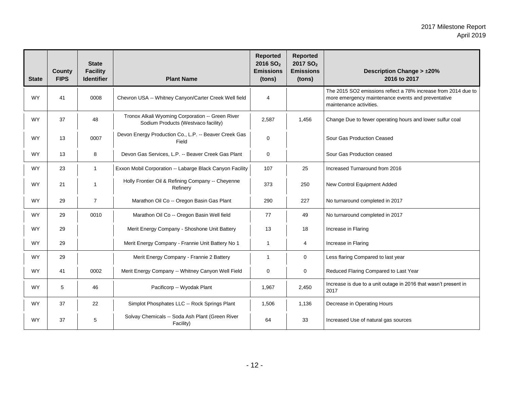| <b>State</b> | <b>County</b><br><b>FIPS</b> | <b>State</b><br><b>Facility</b><br><b>Identifier</b> | <b>Plant Name</b>                                                                       | <b>Reported</b><br>2016 SO <sub>2</sub><br><b>Emissions</b><br>(tons) | <b>Reported</b><br>2017 SO <sub>2</sub><br><b>Emissions</b><br>(tons) | <b>Description Change &gt; ±20%</b><br>2016 to 2017                                                                                             |
|--------------|------------------------------|------------------------------------------------------|-----------------------------------------------------------------------------------------|-----------------------------------------------------------------------|-----------------------------------------------------------------------|-------------------------------------------------------------------------------------------------------------------------------------------------|
| <b>WY</b>    | 41                           | 0008                                                 | Chevron USA -- Whitney Canyon/Carter Creek Well field                                   | 4                                                                     |                                                                       | The 2015 SO2 emissions reflect a 78% increase from 2014 due to<br>more emergency maintenance events and preventative<br>maintenance activities. |
| <b>WY</b>    | 37                           | 48                                                   | Tronox Alkali Wyoming Corporation -- Green River<br>Sodium Products (Westvaco facility) | 2,587                                                                 | 1,456                                                                 | Change Due to fewer operating hours and lower sulfur coal                                                                                       |
| <b>WY</b>    | 13                           | 0007                                                 | Devon Energy Production Co., L.P. -- Beaver Creek Gas<br>Field                          | 0                                                                     |                                                                       | Sour Gas Production Ceased                                                                                                                      |
| <b>WY</b>    | 13                           | 8                                                    | Devon Gas Services, L.P. -- Beaver Creek Gas Plant                                      | 0                                                                     |                                                                       | Sour Gas Production ceased                                                                                                                      |
| <b>WY</b>    | 23                           | $\mathbf{1}$                                         | Exxon Mobil Corporation -- Labarge Black Canyon Facility                                | 107                                                                   | 25                                                                    | Increased Turnaround from 2016                                                                                                                  |
| <b>WY</b>    | 21                           | -1                                                   | Holly Frontier Oil & Refining Company -- Cheyenne<br>Refinery                           | 373                                                                   | 250                                                                   | New Control Equipment Added                                                                                                                     |
| <b>WY</b>    | 29                           | $\overline{7}$                                       | Marathon Oil Co -- Oregon Basin Gas Plant                                               | 290                                                                   | 227                                                                   | No turnaround completed in 2017                                                                                                                 |
| <b>WY</b>    | 29                           | 0010                                                 | Marathon Oil Co -- Oregon Basin Well field                                              | 77                                                                    | 49                                                                    | No turnaround completed in 2017                                                                                                                 |
| <b>WY</b>    | 29                           |                                                      | Merit Energy Company - Shoshone Unit Battery                                            | 13                                                                    | 18                                                                    | Increase in Flaring                                                                                                                             |
| <b>WY</b>    | 29                           |                                                      | Merit Energy Company - Frannie Unit Battery No 1                                        | 1                                                                     | 4                                                                     | Increase in Flaring                                                                                                                             |
| <b>WY</b>    | 29                           |                                                      | Merit Energy Company - Frannie 2 Battery                                                | $\mathbf{1}$                                                          | $\mathbf 0$                                                           | Less flaring Compared to last year                                                                                                              |
| <b>WY</b>    | 41                           | 0002                                                 | Merit Energy Company -- Whitney Canyon Well Field                                       | 0                                                                     | 0                                                                     | Reduced Flaring Compared to Last Year                                                                                                           |
| <b>WY</b>    | 5                            | 46                                                   | Pacificorp -- Wyodak Plant                                                              | 1,967                                                                 | 2,450                                                                 | Increase is due to a unit outage in 2016 that wasn't present in<br>2017                                                                         |
| <b>WY</b>    | 37                           | 22                                                   | Simplot Phosphates LLC -- Rock Springs Plant                                            | 1,506                                                                 | 1,136                                                                 | Decrease in Operating Hours                                                                                                                     |
| <b>WY</b>    | 37                           | 5                                                    | Solvay Chemicals -- Soda Ash Plant (Green River<br>Facility)                            | 64                                                                    | 33                                                                    | Increased Use of natural gas sources                                                                                                            |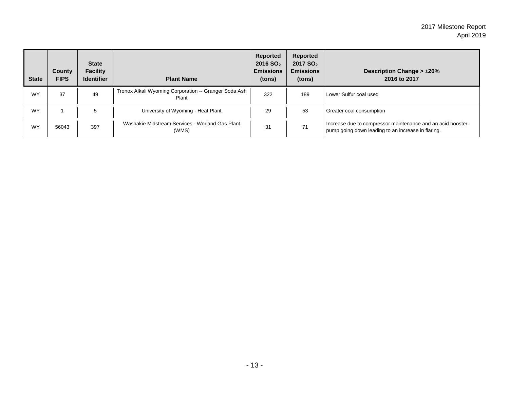| <b>State</b> | County<br><b>FIPS</b> | <b>State</b><br><b>Facility</b><br><b>Identifier</b> | <b>Plant Name</b>                                              | Reported<br>2016 SQ <sub>2</sub><br><b>Emissions</b><br>(tons) | Reported<br>2017 SO <sub>2</sub><br><b>Emissions</b><br>(tons) | Description Change $> \pm 20\%$<br>2016 to 2017                                                                  |
|--------------|-----------------------|------------------------------------------------------|----------------------------------------------------------------|----------------------------------------------------------------|----------------------------------------------------------------|------------------------------------------------------------------------------------------------------------------|
| <b>WY</b>    | 37                    | 49                                                   | Tronox Alkali Wyoming Corporation -- Granger Soda Ash<br>Plant | 322                                                            | 189                                                            | Lower Sulfur coal used                                                                                           |
| <b>WY</b>    |                       |                                                      | University of Wyoming - Heat Plant                             | 29                                                             | 53                                                             | Greater coal consumption                                                                                         |
| <b>WY</b>    | 56043                 | 397                                                  | Washakie Midstream Services - Worland Gas Plant<br>(WMS)       | 31                                                             | 71                                                             | Increase due to compressor maintenance and an acid booster<br>pump going down leading to an increase in flaring. |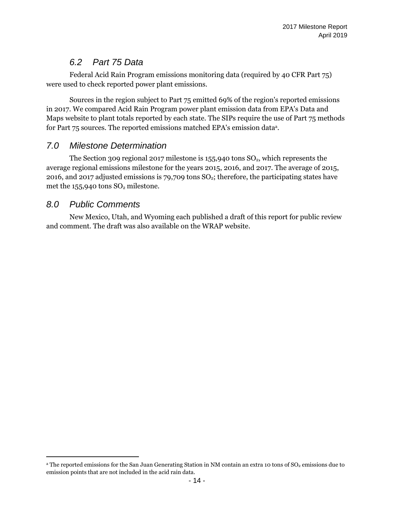## *6.2 Part 75 Data*

Federal Acid Rain Program emissions monitoring data (required by 40 CFR Part 75) were used to check reported power plant emissions.

Sources in the region subject to Part 75 emitted 69% of the region's reported emissions in 2017. We compared Acid Rain Program power plant emission data from EPA's Data and Maps website to plant totals reported by each state. The SIPs require the use of Part 75 methods for Part 75 sources. The reported emissions matched EPA's emission data<sup>a</sup>.

### *7.0 Milestone Determination*

The Section 309 regional 2017 milestone is  $155,940$  tons  $SO<sub>2</sub>$ , which represents the average regional emissions milestone for the years 2015, 2016, and 2017. The average of 2015, 2016, and 2017 adjusted emissions is 79,709 tons  $SO<sub>2</sub>$ ; therefore, the participating states have met the  $155,940$  tons  $SO<sub>2</sub>$  milestone.

### *8.0 Public Comments*

 $\overline{a}$ 

New Mexico, Utah, and Wyoming each published a draft of this report for public review and comment. The draft was also available on the WRAP website.

<sup>&</sup>lt;sup>a</sup> The reported emissions for the San Juan Generating Station in NM contain an extra 10 tons of SO<sub>2</sub> emissions due to emission points that are not included in the acid rain data.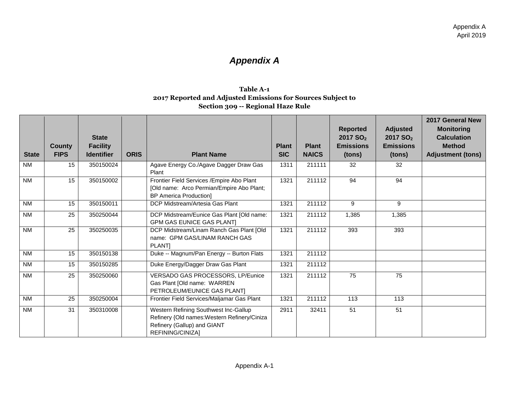# *Appendix A*

#### **Table A-1 2017 Reported and Adjusted Emissions for Sources Subject to Section 309 -- Regional Haze Rule**

| <b>State</b>   | <b>County</b><br><b>FIPS</b> | <b>State</b><br><b>Facility</b><br><b>Identifier</b> | <b>ORIS</b> | <b>Plant Name</b>                                                                                                                        | <b>Plant</b><br><b>SIC</b> | <b>Plant</b><br><b>NAICS</b> | <b>Reported</b><br>2017 SO <sub>2</sub><br><b>Emissions</b><br>(tons) | <b>Adjusted</b><br>2017 SO <sub>2</sub><br><b>Emissions</b><br>(tons) | 2017 General New<br><b>Monitoring</b><br><b>Calculation</b><br><b>Method</b><br><b>Adjustment (tons)</b> |
|----------------|------------------------------|------------------------------------------------------|-------------|------------------------------------------------------------------------------------------------------------------------------------------|----------------------------|------------------------------|-----------------------------------------------------------------------|-----------------------------------------------------------------------|----------------------------------------------------------------------------------------------------------|
| N <sub>M</sub> | 15                           | 350150024                                            |             | Agave Energy Co./Agave Dagger Draw Gas<br>Plant                                                                                          | 1311                       | 211111                       | 32                                                                    | 32                                                                    |                                                                                                          |
| <b>NM</b>      | 15                           | 350150002                                            |             | Frontier Field Services / Empire Abo Plant<br>[Old name: Arco Permian/Empire Abo Plant;<br><b>BP America Production]</b>                 | 1321                       | 211112                       | 94                                                                    | 94                                                                    |                                                                                                          |
| <b>NM</b>      | 15                           | 350150011                                            |             | DCP Midstream/Artesia Gas Plant                                                                                                          | 1321                       | 211112                       | 9                                                                     | 9                                                                     |                                                                                                          |
| <b>NM</b>      | 25                           | 350250044                                            |             | DCP Midstream/Eunice Gas Plant [Old name:<br><b>GPM GAS EUNICE GAS PLANTI</b>                                                            | 1321                       | 211112                       | 1,385                                                                 | 1,385                                                                 |                                                                                                          |
| N <sub>M</sub> | $\overline{25}$              | 350250035                                            |             | DCP Midstream/Linam Ranch Gas Plant [Old<br>name: GPM GAS/LINAM RANCH GAS<br><b>PLANTI</b>                                               | 1321                       | 211112                       | 393                                                                   | 393                                                                   |                                                                                                          |
| <b>NM</b>      | 15                           | 350150138                                            |             | Duke -- Magnum/Pan Energy -- Burton Flats                                                                                                | 1321                       | 211112                       |                                                                       |                                                                       |                                                                                                          |
| <b>NM</b>      | 15                           | 350150285                                            |             | Duke Energy/Dagger Draw Gas Plant                                                                                                        | 1321                       | 211112                       |                                                                       |                                                                       |                                                                                                          |
| <b>NM</b>      | 25                           | 350250060                                            |             | VERSADO GAS PROCESSORS, LP/Eunice<br>Gas Plant [Old name: WARREN<br>PETROLEUM/EUNICE GAS PLANT]                                          | 1321                       | 211112                       | $\overline{75}$                                                       | 75                                                                    |                                                                                                          |
| N <sub>M</sub> | 25                           | 350250004                                            |             | Frontier Field Services/Maljamar Gas Plant                                                                                               | 1321                       | 211112                       | $\overline{113}$                                                      | 113                                                                   |                                                                                                          |
| N <sub>M</sub> | 31                           | 350310008                                            |             | Western Refining Southwest Inc-Gallup<br>Refinery {Old names: Western Refinery/Ciniza<br>Refinery (Gallup) and GIANT<br>REFINING/CINIZA] | 2911                       | 32411                        | 51                                                                    | $\overline{51}$                                                       |                                                                                                          |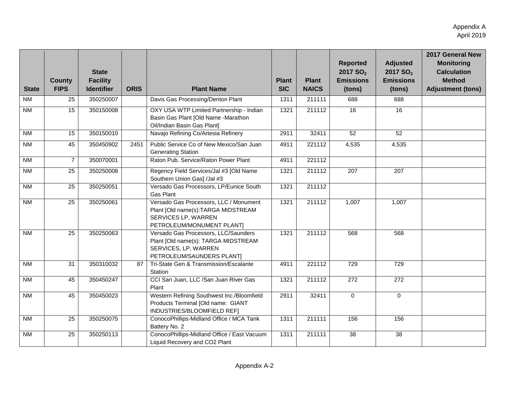| <b>State</b>   | <b>County</b><br><b>FIPS</b> | <b>State</b><br><b>Facility</b><br><b>Identifier</b> | <b>ORIS</b> | <b>Plant Name</b>                                                                                                                | <b>Plant</b><br><b>SIC</b> | <b>Plant</b><br><b>NAICS</b> | <b>Reported</b><br>2017 SO <sub>2</sub><br><b>Emissions</b><br>(tons) | <b>Adjusted</b><br>2017 SO <sub>2</sub><br><b>Emissions</b><br>(tons) | 2017 General New<br><b>Monitoring</b><br><b>Calculation</b><br><b>Method</b><br><b>Adjustment (tons)</b> |
|----------------|------------------------------|------------------------------------------------------|-------------|----------------------------------------------------------------------------------------------------------------------------------|----------------------------|------------------------------|-----------------------------------------------------------------------|-----------------------------------------------------------------------|----------------------------------------------------------------------------------------------------------|
| N <sub>M</sub> | 25                           | 350250007                                            |             | Davis Gas Processing/Denton Plant                                                                                                | 1311                       | 211111                       | 688                                                                   | 688                                                                   |                                                                                                          |
| <b>NM</b>      | 15                           | 350150008                                            |             | OXY USA WTP Limited Partnership - Indian<br>Basin Gas Plant [Old Name -Marathon<br>Oil/Indian Basin Gas Plant]                   | 1321                       | 211112                       | 16                                                                    | 16                                                                    |                                                                                                          |
| N <sub>M</sub> | 15                           | 350150010                                            |             | Navajo Refining Co/Artesia Refinery                                                                                              | 2911                       | 32411                        | 52                                                                    | 52                                                                    |                                                                                                          |
| N <sub>M</sub> | 45                           | 350450902                                            | 2451        | Public Service Co of New Mexico/San Juan<br><b>Generating Station</b>                                                            | 4911                       | 221112                       | 4,535                                                                 | 4,535                                                                 |                                                                                                          |
| N <sub>M</sub> | $\overline{7}$               | 350070001                                            |             | Raton Pub. Service/Raton Power Plant                                                                                             | 4911                       | 221112                       |                                                                       |                                                                       |                                                                                                          |
| N <sub>M</sub> | 25                           | 350250008                                            |             | Regency Field Services/Jal #3 [Old Name<br>Southern Union Gas] /Jal #3                                                           | 1321                       | 211112                       | $\overline{207}$                                                      | 207                                                                   |                                                                                                          |
| <b>NM</b>      | 25                           | 350250051                                            |             | Versado Gas Processors, LP/Eunice South<br><b>Gas Plant</b>                                                                      | 1321                       | 211112                       |                                                                       |                                                                       |                                                                                                          |
| N <sub>M</sub> | $\overline{25}$              | 350250061                                            |             | Versado Gas Processors, LLC / Monument<br>Plant [Old name(s):TARGA MIDSTREAM<br>SERVICES LP, WARREN<br>PETROLEUM/MONUMENT PLANT] | 1321                       | 211112                       | 1,007                                                                 | 1,007                                                                 |                                                                                                          |
| <b>NM</b>      | 25                           | 350250063                                            |             | Versado Gas Processors, LLC/Saunders<br>Plant [Old name(s): TARGA MIDSTREAM<br>SERVICES, LP, WARREN<br>PETROLEUM/SAUNDERS PLANT] | 1321                       | 211112                       | 568                                                                   | 568                                                                   |                                                                                                          |
| N <sub>M</sub> | 31                           | 350310032                                            | 87          | Tri-State Gen & Transmission/Escalante<br>Station                                                                                | 4911                       | 221112                       | 729                                                                   | 729                                                                   |                                                                                                          |
| <b>NM</b>      | 45                           | 350450247                                            |             | CCI San Juan, LLC / San Juan River Gas<br>Plant                                                                                  | 1321                       | 211112                       | $\overline{272}$                                                      | $\overline{272}$                                                      |                                                                                                          |
| <b>NM</b>      | 45                           | 350450023                                            |             | Western Refining Southwest Inc./Bloomfield<br>Products Terminal [Old name: GIANT<br>INDUSTRIES/BLOOMFIELD REF]                   | 2911                       | 32411                        | $\mathbf{0}$                                                          | $\Omega$                                                              |                                                                                                          |
| N <sub>M</sub> | 25                           | 350250075                                            |             | ConocoPhillips-Midland Office / MCA Tank<br>Battery No. 2                                                                        | 1311                       | 211111                       | 156                                                                   | 156                                                                   |                                                                                                          |
| N <sub>M</sub> | $\overline{25}$              | 350250113                                            |             | ConocoPhillips-Midland Office / East Vacuum<br>Liquid Recovery and CO2 Plant                                                     | 1311                       | 211111                       | 38                                                                    | $\overline{38}$                                                       |                                                                                                          |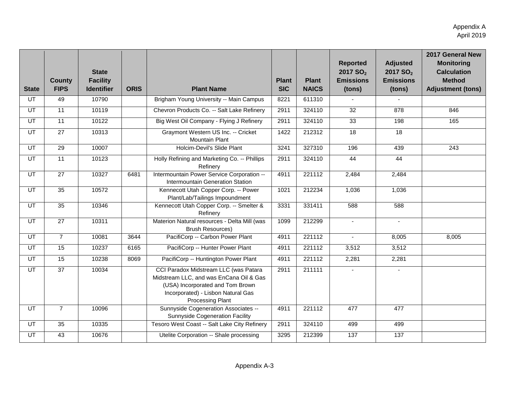| <b>State</b>    | <b>County</b><br><b>FIPS</b> | <b>State</b><br><b>Facility</b><br><b>Identifier</b> | <b>ORIS</b> | <b>Plant Name</b>                                                                                                                                                                     | <b>Plant</b><br><b>SIC</b> | <b>Plant</b><br><b>NAICS</b> | <b>Reported</b><br>2017 SO <sub>2</sub><br><b>Emissions</b><br>(tons) | <b>Adjusted</b><br>2017 SO <sub>2</sub><br><b>Emissions</b><br>(tons) | 2017 General New<br><b>Monitoring</b><br><b>Calculation</b><br><b>Method</b><br><b>Adjustment (tons)</b> |
|-----------------|------------------------------|------------------------------------------------------|-------------|---------------------------------------------------------------------------------------------------------------------------------------------------------------------------------------|----------------------------|------------------------------|-----------------------------------------------------------------------|-----------------------------------------------------------------------|----------------------------------------------------------------------------------------------------------|
| $\overline{UT}$ | 49                           | 10790                                                |             | Brigham Young University -- Main Campus                                                                                                                                               | 8221                       | 611310                       |                                                                       |                                                                       |                                                                                                          |
| $\overline{UT}$ | $\overline{11}$              | 10119                                                |             | Chevron Products Co. -- Salt Lake Refinery                                                                                                                                            | 2911                       | 324110                       | $\overline{32}$                                                       | 878                                                                   | 846                                                                                                      |
| UT              | 11                           | 10122                                                |             | Big West Oil Company - Flying J Refinery                                                                                                                                              | 2911                       | 324110                       | 33                                                                    | 198                                                                   | 165                                                                                                      |
| $\overline{UT}$ | $\overline{27}$              | 10313                                                |             | Graymont Western US Inc. -- Cricket<br><b>Mountain Plant</b>                                                                                                                          | 1422                       | 212312                       | $\overline{18}$                                                       | $\overline{18}$                                                       |                                                                                                          |
| UT              | 29                           | 10007                                                |             | Holcim-Devil's Slide Plant                                                                                                                                                            | 3241                       | 327310                       | 196                                                                   | 439                                                                   | 243                                                                                                      |
| <b>UT</b>       | $\overline{11}$              | 10123                                                |             | Holly Refining and Marketing Co. -- Phillips<br>Refinery                                                                                                                              | 2911                       | 324110                       | 44                                                                    | 44                                                                    |                                                                                                          |
| $\overline{UT}$ | $\overline{27}$              | 10327                                                | 6481        | Intermountain Power Service Corporation --<br>Intermountain Generation Station                                                                                                        | 4911                       | 221112                       | 2,484                                                                 | 2,484                                                                 |                                                                                                          |
| $\overline{UT}$ | 35                           | 10572                                                |             | Kennecott Utah Copper Corp. -- Power<br>Plant/Lab/Tailings Impoundment                                                                                                                | 1021                       | 212234                       | 1,036                                                                 | 1,036                                                                 |                                                                                                          |
| $\overline{UT}$ | 35                           | 10346                                                |             | Kennecott Utah Copper Corp. -- Smelter &<br>Refinery                                                                                                                                  | 3331                       | 331411                       | 588                                                                   | 588                                                                   |                                                                                                          |
| $\overline{UT}$ | $\overline{27}$              | 10311                                                |             | Materion Natural resources - Delta Mill (was<br><b>Brush Resources)</b>                                                                                                               | 1099                       | 212299                       | $\blacksquare$                                                        | $\sim$                                                                |                                                                                                          |
| $\overline{UT}$ | $\overline{7}$               | 10081                                                | 3644        | PacifiCorp -- Carbon Power Plant                                                                                                                                                      | 4911                       | 221112                       | $\overline{a}$                                                        | 8,005                                                                 | 8,005                                                                                                    |
| UT              | 15                           | 10237                                                | 6165        | PacifiCorp -- Hunter Power Plant                                                                                                                                                      | 4911                       | 221112                       | 3,512                                                                 | 3,512                                                                 |                                                                                                          |
| $\overline{UT}$ | 15                           | 10238                                                | 8069        | PacifiCorp -- Huntington Power Plant                                                                                                                                                  | 4911                       | 221112                       | 2,281                                                                 | 2,281                                                                 |                                                                                                          |
| UT              | 37                           | 10034                                                |             | CCI Paradox Midstream LLC (was Patara<br>Midstream LLC, and was EnCana Oil & Gas<br>(USA) Incorporated and Tom Brown<br>Incorporated) - Lisbon Natural Gas<br><b>Processing Plant</b> | 2911                       | 211111                       | $\blacksquare$                                                        | $\sim$                                                                |                                                                                                          |
| <b>UT</b>       | $\overline{7}$               | 10096                                                |             | Sunnyside Cogeneration Associates --<br>Sunnyside Cogeneration Facility                                                                                                               | 4911                       | 221112                       | 477                                                                   | 477                                                                   |                                                                                                          |
| $\overline{UT}$ | 35                           | 10335                                                |             | Tesoro West Coast -- Salt Lake City Refinery                                                                                                                                          | 2911                       | 324110                       | 499                                                                   | 499                                                                   |                                                                                                          |
| UT              | 43                           | 10676                                                |             | Utelite Corporation -- Shale processing                                                                                                                                               | 3295                       | 212399                       | 137                                                                   | 137                                                                   |                                                                                                          |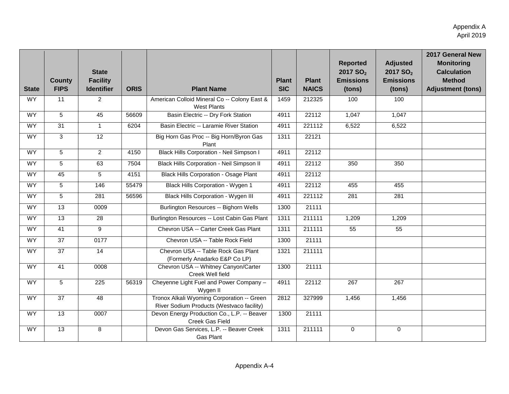| <b>State</b> | <b>County</b><br><b>FIPS</b> | <b>State</b><br><b>Facility</b><br><b>Identifier</b> | <b>ORIS</b> | <b>Plant Name</b>                                                                       | <b>Plant</b><br><b>SIC</b> | <b>Plant</b><br><b>NAICS</b> | <b>Reported</b><br>2017 SO <sub>2</sub><br><b>Emissions</b><br>(tons) | <b>Adjusted</b><br>2017 SO <sub>2</sub><br><b>Emissions</b><br>(tons) | 2017 General New<br><b>Monitoring</b><br><b>Calculation</b><br><b>Method</b><br><b>Adjustment (tons)</b> |
|--------------|------------------------------|------------------------------------------------------|-------------|-----------------------------------------------------------------------------------------|----------------------------|------------------------------|-----------------------------------------------------------------------|-----------------------------------------------------------------------|----------------------------------------------------------------------------------------------------------|
| <b>WY</b>    | 11                           | $\overline{2}$                                       |             | American Colloid Mineral Co -- Colony East &<br><b>West Plants</b>                      | 1459                       | 212325                       | 100                                                                   | 100                                                                   |                                                                                                          |
| <b>WY</b>    | 5                            | $\overline{45}$                                      | 56609       | Basin Electric -- Dry Fork Station                                                      | 4911                       | 22112                        | 1,047                                                                 | 1,047                                                                 |                                                                                                          |
| <b>WY</b>    | 31                           | $\mathbf{1}$                                         | 6204        | Basin Electric -- Laramie River Station                                                 | 4911                       | 221112                       | 6,522                                                                 | 6,522                                                                 |                                                                                                          |
| WY           | $\overline{\omega}$          | 12                                                   |             | Big Horn Gas Proc -- Big Horn/Byron Gas<br>Plant                                        | 1311                       | 22121                        |                                                                       |                                                                       |                                                                                                          |
| <b>WY</b>    | 5                            | $\overline{2}$                                       | 4150        | Black Hills Corporation - Neil Simpson I                                                | 4911                       | 22112                        |                                                                       |                                                                       |                                                                                                          |
| <b>WY</b>    | 5                            | 63                                                   | 7504        | <b>Black Hills Corporation - Neil Simpson II</b>                                        | 4911                       | 22112                        | 350                                                                   | 350                                                                   |                                                                                                          |
| <b>WY</b>    | 45                           | $\overline{5}$                                       | 4151        | <b>Black Hills Corporation - Osage Plant</b>                                            | 4911                       | 22112                        |                                                                       |                                                                       |                                                                                                          |
| <b>WY</b>    | 5                            | 146                                                  | 55479       | Black Hills Corporation - Wygen 1                                                       | 4911                       | 22112                        | 455                                                                   | 455                                                                   |                                                                                                          |
| WY.          | 5                            | 281                                                  | 56596       | <b>Black Hills Corporation - Wygen III</b>                                              | 4911                       | 221112                       | $\overline{281}$                                                      | 281                                                                   |                                                                                                          |
| <b>WY</b>    | $\overline{13}$              | 0009                                                 |             | Burlington Resources -- Bighorn Wells                                                   | 1300                       | 21111                        |                                                                       |                                                                       |                                                                                                          |
| <b>WY</b>    | 13                           | $\overline{28}$                                      |             | Burlington Resources -- Lost Cabin Gas Plant                                            | 1311                       | 211111                       | 1,209                                                                 | 1,209                                                                 |                                                                                                          |
| <b>WY</b>    | $\overline{41}$              | $\overline{9}$                                       |             | Chevron USA -- Carter Creek Gas Plant                                                   | 1311                       | 211111                       | 55                                                                    | 55                                                                    |                                                                                                          |
| WY.          | 37                           | 0177                                                 |             | Chevron USA -- Table Rock Field                                                         | 1300                       | 21111                        |                                                                       |                                                                       |                                                                                                          |
| <b>WY</b>    | $\overline{37}$              | 14                                                   |             | Chevron USA -- Table Rock Gas Plant<br>(Formerly Anadarko E&P Co LP)                    | 1321                       | 211111                       |                                                                       |                                                                       |                                                                                                          |
| WY           | 41                           | 0008                                                 |             | Chevron USA -- Whitney Canyon/Carter<br>Creek Well field                                | 1300                       | 21111                        |                                                                       |                                                                       |                                                                                                          |
| <b>WY</b>    | 5                            | $\overline{225}$                                     | 56319       | Cheyenne Light Fuel and Power Company -<br>Wygen II                                     | 4911                       | 22112                        | $\overline{267}$                                                      | $\overline{267}$                                                      |                                                                                                          |
| <b>WY</b>    | 37                           | 48                                                   |             | Tronox Alkali Wyoming Corporation -- Green<br>River Sodium Products (Westvaco facility) | 2812                       | 327999                       | 1,456                                                                 | 1,456                                                                 |                                                                                                          |
| <b>WY</b>    | 13                           | 0007                                                 |             | Devon Energy Production Co., L.P. -- Beaver<br>Creek Gas Field                          | 1300                       | 21111                        |                                                                       |                                                                       |                                                                                                          |
| <b>WY</b>    | 13                           | $\overline{8}$                                       |             | Devon Gas Services, L.P. -- Beaver Creek<br>Gas Plant                                   | 1311                       | 211111                       | $\mathbf 0$                                                           | $\mathbf 0$                                                           |                                                                                                          |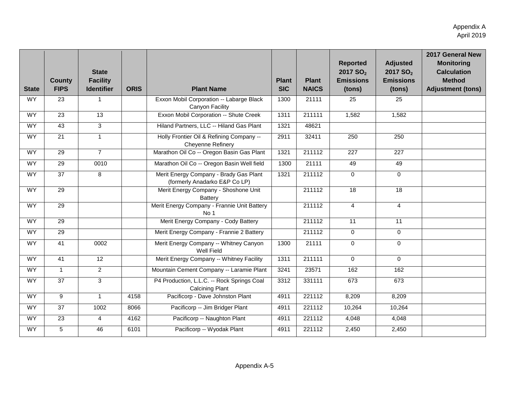| <b>State</b> | <b>County</b><br><b>FIPS</b> | <b>State</b><br><b>Facility</b><br><b>Identifier</b> | <b>ORIS</b> | <b>Plant Name</b>                                                       | <b>Plant</b><br><b>SIC</b> | <b>Plant</b><br><b>NAICS</b> | <b>Reported</b><br>2017 SO <sub>2</sub><br><b>Emissions</b><br>(tons) | <b>Adjusted</b><br>2017 SO <sub>2</sub><br><b>Emissions</b><br>(tons) | 2017 General New<br><b>Monitoring</b><br><b>Calculation</b><br><b>Method</b><br><b>Adjustment (tons)</b> |
|--------------|------------------------------|------------------------------------------------------|-------------|-------------------------------------------------------------------------|----------------------------|------------------------------|-----------------------------------------------------------------------|-----------------------------------------------------------------------|----------------------------------------------------------------------------------------------------------|
| <b>WY</b>    | 23                           | $\mathbf{1}$                                         |             | Exxon Mobil Corporation -- Labarge Black<br>Canyon Facility             | 1300                       | 21111                        | 25                                                                    | 25                                                                    |                                                                                                          |
| WY.          | 23                           | 13                                                   |             | Exxon Mobil Corporation -- Shute Creek                                  | 1311                       | 211111                       | 1,582                                                                 | 1,582                                                                 |                                                                                                          |
| <b>WY</b>    | 43                           | $\overline{3}$                                       |             | Hiland Partners, LLC -- Hiland Gas Plant                                | 1321                       | 48621                        |                                                                       |                                                                       |                                                                                                          |
| <b>WY</b>    | $\overline{21}$              | $\mathbf{1}$                                         |             | Holly Frontier Oil & Refining Company --<br>Cheyenne Refinery           | 2911                       | 32411                        | 250                                                                   | 250                                                                   |                                                                                                          |
| WY           | 29                           | $\overline{7}$                                       |             | Marathon Oil Co -- Oregon Basin Gas Plant                               | 1321                       | 211112                       | 227                                                                   | $\overline{227}$                                                      |                                                                                                          |
| <b>WY</b>    | $\overline{29}$              | 0010                                                 |             | Marathon Oil Co -- Oregon Basin Well field                              | 1300                       | 21111                        | 49                                                                    | 49                                                                    |                                                                                                          |
| <b>WY</b>    | 37                           | 8                                                    |             | Merit Energy Company - Brady Gas Plant<br>(formerly Anadarko E&P Co LP) | 1321                       | 211112                       | $\mathbf 0$                                                           | $\Omega$                                                              |                                                                                                          |
| <b>WY</b>    | 29                           |                                                      |             | Merit Energy Company - Shoshone Unit<br><b>Battery</b>                  |                            | 211112                       | 18                                                                    | 18                                                                    |                                                                                                          |
| WY           | 29                           |                                                      |             | Merit Energy Company - Frannie Unit Battery<br>No 1                     |                            | 211112                       | $\overline{4}$                                                        | $\overline{4}$                                                        |                                                                                                          |
| <b>WY</b>    | 29                           |                                                      |             | Merit Energy Company - Cody Battery                                     |                            | 211112                       | 11                                                                    | 11                                                                    |                                                                                                          |
| WY.          | $\overline{29}$              |                                                      |             | Merit Energy Company - Frannie 2 Battery                                |                            | 211112                       | $\Omega$                                                              | $\Omega$                                                              |                                                                                                          |
| <b>WY</b>    | 41                           | 0002                                                 |             | Merit Energy Company -- Whitney Canyon<br>Well Field                    | 1300                       | 21111                        | $\mathbf 0$                                                           | $\overline{0}$                                                        |                                                                                                          |
| <b>WY</b>    | 41                           | $\overline{12}$                                      |             | Merit Energy Company -- Whitney Facility                                | 1311                       | 211111                       | $\mathbf 0$                                                           | $\Omega$                                                              |                                                                                                          |
| <b>WY</b>    | $\mathbf{1}$                 | $\overline{2}$                                       |             | Mountain Cement Company -- Laramie Plant                                | 3241                       | 23571                        | 162                                                                   | 162                                                                   |                                                                                                          |
| <b>WY</b>    | $\overline{37}$              | $\overline{3}$                                       |             | P4 Production, L.L.C. -- Rock Springs Coal<br><b>Calcining Plant</b>    | 3312                       | 331111                       | 673                                                                   | 673                                                                   |                                                                                                          |
| WY.          | 9                            | $\mathbf{1}$                                         | 4158        | Pacificorp - Dave Johnston Plant                                        | 4911                       | 221112                       | 8,209                                                                 | 8,209                                                                 |                                                                                                          |
| WY           | 37                           | 1002                                                 | 8066        | Pacificorp -- Jim Bridger Plant                                         | 4911                       | 221112                       | 10,264                                                                | 10,264                                                                |                                                                                                          |
| <b>WY</b>    | $\overline{23}$              | $\overline{4}$                                       | 4162        | Pacificorp -- Naughton Plant                                            | 4911                       | 221112                       | 4,048                                                                 | 4,048                                                                 |                                                                                                          |
| <b>WY</b>    | 5                            | 46                                                   | 6101        | Pacificorp -- Wyodak Plant                                              | 4911                       | 221112                       | 2,450                                                                 | 2,450                                                                 |                                                                                                          |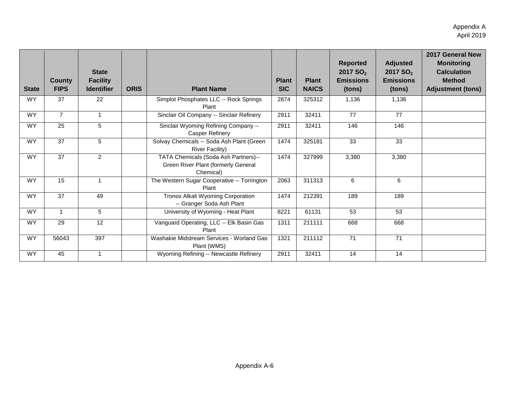| <b>State</b> | <b>County</b><br><b>FIPS</b> | <b>State</b><br><b>Facility</b><br><b>Identifier</b> | <b>ORIS</b> | <b>Plant Name</b>                                                                        | <b>Plant</b><br><b>SIC</b> | <b>Plant</b><br><b>NAICS</b> | <b>Reported</b><br>2017 SO <sub>2</sub><br><b>Emissions</b><br>(tons) | <b>Adjusted</b><br>2017 SO <sub>2</sub><br><b>Emissions</b><br>(tons) | 2017 General New<br><b>Monitoring</b><br><b>Calculation</b><br><b>Method</b><br><b>Adjustment (tons)</b> |
|--------------|------------------------------|------------------------------------------------------|-------------|------------------------------------------------------------------------------------------|----------------------------|------------------------------|-----------------------------------------------------------------------|-----------------------------------------------------------------------|----------------------------------------------------------------------------------------------------------|
| <b>WY</b>    | 37                           | 22                                                   |             | Simplot Phosphates LLC -- Rock Springs<br>Plant                                          | 2874                       | 325312                       | 1.136                                                                 | 1,136                                                                 |                                                                                                          |
| <b>WY</b>    | $\overline{7}$               | $\mathbf{1}$                                         |             | Sinclair Oil Company -- Sinclair Refinery                                                | 2911                       | 32411                        | 77                                                                    | 77                                                                    |                                                                                                          |
| WY.          | 25                           | 5                                                    |             | Sinclair Wyoming Refining Company --<br><b>Casper Refinery</b>                           | 2911                       | 32411                        | 146                                                                   | 146                                                                   |                                                                                                          |
| <b>WY</b>    | 37                           | 5                                                    |             | Solvay Chemicals -- Soda Ash Plant (Green<br><b>River Facility)</b>                      | 1474                       | 325181                       | 33                                                                    | 33                                                                    |                                                                                                          |
| WY.          | 37                           | $\overline{2}$                                       |             | TATA Chemicals (Soda Ash Partners)--<br>Green River Plant (formerly General<br>Chemical) | 1474                       | 327999                       | 3,380                                                                 | 3,380                                                                 |                                                                                                          |
| <b>WY</b>    | 15                           | $\mathbf{1}$                                         |             | The Western Sugar Cooperative -- Torrington<br>Plant                                     | 2063                       | 311313                       | 6                                                                     | 6                                                                     |                                                                                                          |
| <b>WY</b>    | 37                           | 49                                                   |             | Tronox Alkali Wyoming Corporation<br>-- Granger Soda Ash Plant                           | 1474                       | 212391                       | 189                                                                   | 189                                                                   |                                                                                                          |
| <b>WY</b>    | 1                            | 5                                                    |             | University of Wyoming - Heat Plant                                                       | 8221                       | 61131                        | 53                                                                    | 53                                                                    |                                                                                                          |
| WY.          | 29                           | 12                                                   |             | Vanguard Operating, LLC -- Elk Basin Gas<br>Plant                                        | 1311                       | 211111                       | 668                                                                   | 668                                                                   |                                                                                                          |
| <b>WY</b>    | 56043                        | 397                                                  |             | Washakie Midstream Services - Worland Gas<br>Plant (WMS)                                 | 1321                       | 211112                       | $\overline{71}$                                                       | $\overline{71}$                                                       |                                                                                                          |
| <b>WY</b>    | 45                           | $\mathbf{1}$                                         |             | Wyoming Refining -- Newcastle Refinery                                                   | 2911                       | 32411                        | 14                                                                    | 14                                                                    |                                                                                                          |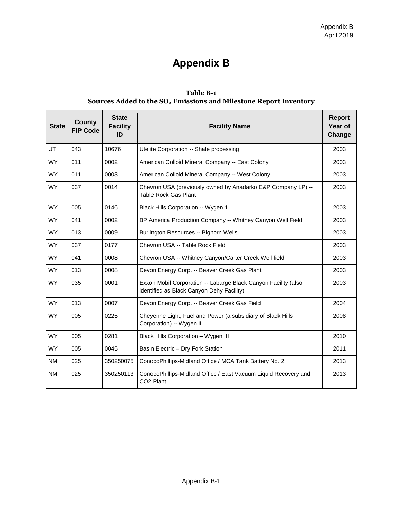# **Appendix B**

| Table B-1                                                            |
|----------------------------------------------------------------------|
| Sources Added to the $SO_2$ Emissions and Milestone Report Inventory |

| <b>State</b> | <b>County</b><br><b>FIP Code</b> | <b>State</b><br><b>Facility</b><br>ID | <b>Facility Name</b>                                                                                        | <b>Report</b><br>Year of<br>Change |
|--------------|----------------------------------|---------------------------------------|-------------------------------------------------------------------------------------------------------------|------------------------------------|
| <b>UT</b>    | 043                              | 10676                                 | Utelite Corporation -- Shale processing                                                                     | 2003                               |
| <b>WY</b>    | 011                              | 0002                                  | American Colloid Mineral Company -- East Colony                                                             | 2003                               |
| <b>WY</b>    | 011                              | 0003                                  | American Colloid Mineral Company -- West Colony                                                             | 2003                               |
| <b>WY</b>    | 037                              | 0014                                  | Chevron USA (previously owned by Anadarko E&P Company LP) --<br><b>Table Rock Gas Plant</b>                 | 2003                               |
| <b>WY</b>    | 005                              | 0146                                  | Black Hills Corporation -- Wygen 1                                                                          | 2003                               |
| <b>WY</b>    | 041                              | 0002                                  | BP America Production Company -- Whitney Canyon Well Field                                                  | 2003                               |
| <b>WY</b>    | 013                              | 0009                                  | Burlington Resources -- Bighorn Wells                                                                       | 2003                               |
| <b>WY</b>    | 037                              | 0177                                  | Chevron USA -- Table Rock Field                                                                             | 2003                               |
| <b>WY</b>    | 041                              | 0008                                  | Chevron USA -- Whitney Canyon/Carter Creek Well field                                                       | 2003                               |
| <b>WY</b>    | 013                              | 0008                                  | Devon Energy Corp. -- Beaver Creek Gas Plant                                                                | 2003                               |
| <b>WY</b>    | 035                              | 0001                                  | Exxon Mobil Corporation -- Labarge Black Canyon Facility (also<br>identified as Black Canyon Dehy Facility) | 2003                               |
| <b>WY</b>    | 013                              | 0007                                  | Devon Energy Corp. -- Beaver Creek Gas Field                                                                | 2004                               |
| <b>WY</b>    | 005                              | 0225                                  | Cheyenne Light, Fuel and Power (a subsidiary of Black Hills<br>Corporation) -- Wygen II                     | 2008                               |
| <b>WY</b>    | 005                              | 0281                                  | Black Hills Corporation - Wygen III                                                                         | 2010                               |
| <b>WY</b>    | 005                              | 0045                                  | Basin Electric - Dry Fork Station                                                                           | 2011                               |
| <b>NM</b>    | 025                              | 350250075                             | ConocoPhillips-Midland Office / MCA Tank Battery No. 2                                                      | 2013                               |
| <b>NM</b>    | 025                              | 350250113                             | ConocoPhillips-Midland Office / East Vacuum Liquid Recovery and<br>CO <sub>2</sub> Plant                    | 2013                               |